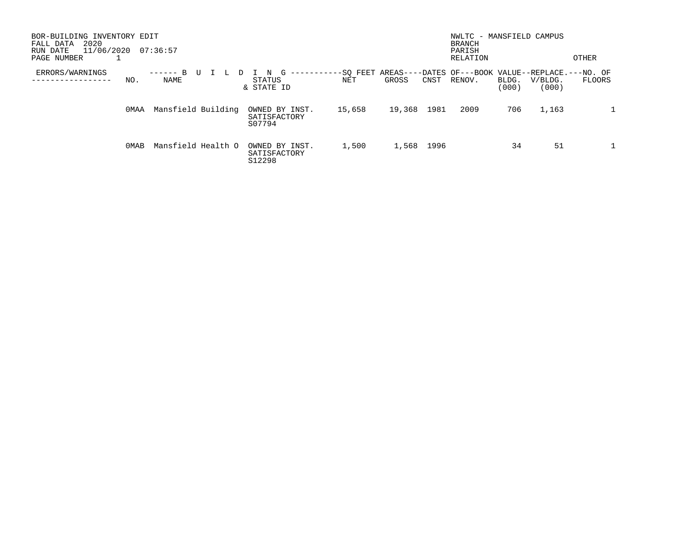| BOR-BUILDING INVENTORY EDIT<br>2020<br>FALL DATA<br>11/06/2020<br>RUN DATE<br>PAGE NUMBER | 07:36:57           |                                              |                 |        |      | NWLTC - MANSFIELD CAMPUS<br><b>BRANCH</b><br>PARISH<br>RELATION |                |                  | OTHER  |
|-------------------------------------------------------------------------------------------|--------------------|----------------------------------------------|-----------------|--------|------|-----------------------------------------------------------------|----------------|------------------|--------|
| ERRORS/WARNINGS<br>NO.                                                                    | ⊥<br>NAME          | G<br>----------<br>N<br>STATUS<br>& STATE ID | -SO FEET<br>NET | GROSS  | CNST | AREAS----DATES OF---BOOK VALUE--REPLACE.---NO. OF<br>RENOV.     | BLDG.<br>(000) | V/BLDG.<br>(000) | FLOORS |
| OMAA                                                                                      | Mansfield Building | OWNED BY INST.<br>SATISFACTORY<br>S07794     | 15,658          | 19,368 | 1981 | 2009                                                            | 706            | 1,163            |        |
| 0MAB                                                                                      | Mansfield Health O | OWNED BY INST.<br>SATISFACTORY<br>S12298     | 1,500           | 1,568  | 1996 |                                                                 | 34             | 51               |        |